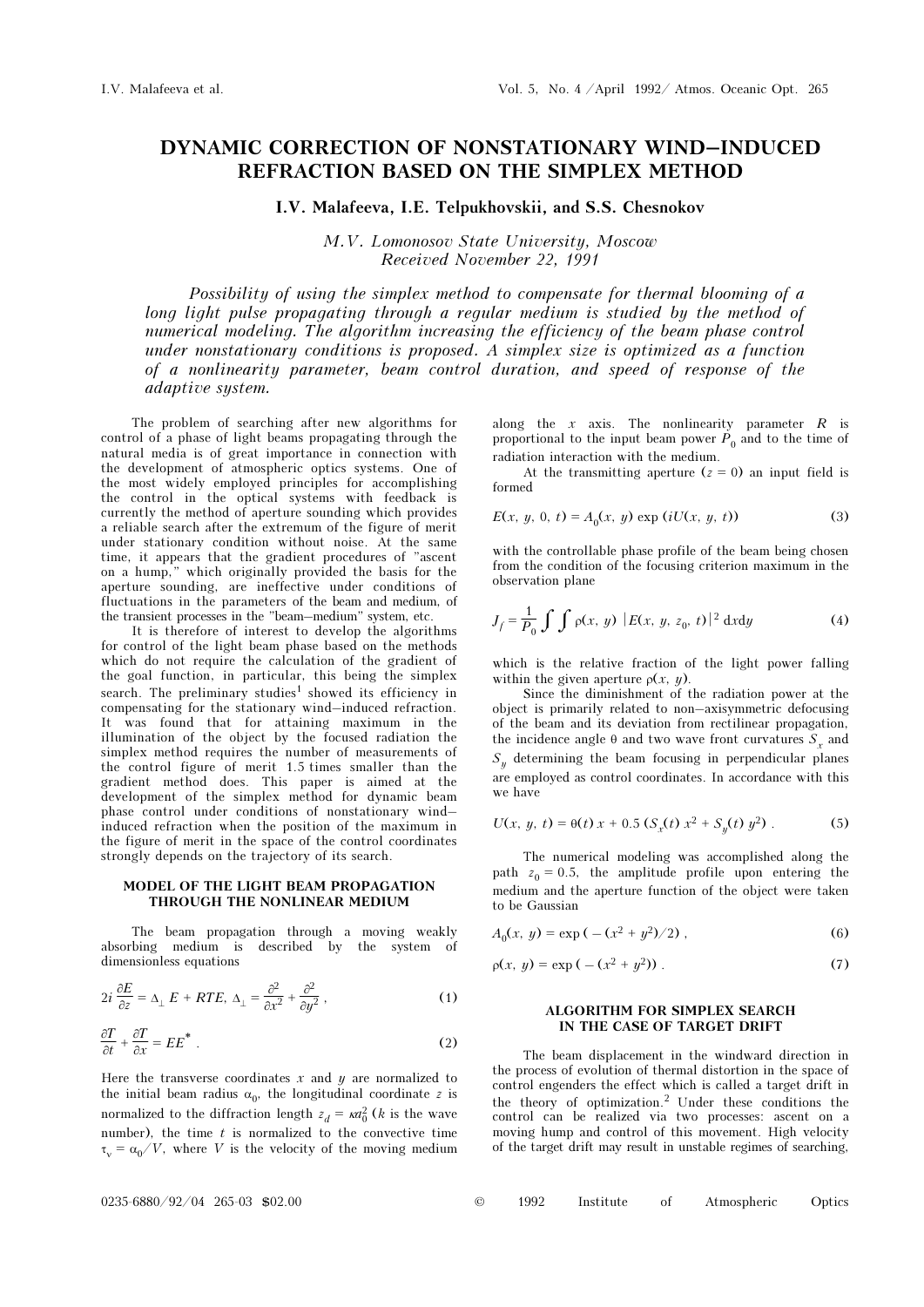# DYNAMIC CORRECTION OF NONSTATIONARY WIND–INDUCED REFRACTION BASED ON THE SIMPLEX METHOD

I.V. Malafeeva, I.E. Telpukhovskii, and S.S. Chesnokov

M.V. Lomonosov State University, Moscow Received November 22, 1991

Possibility of using the simplex method to compensate for thermal blooming of a long light pulse propagating through a regular medium is studied by the method of numerical modeling. The algorithm increasing the efficiency of the beam phase control under nonstationary conditions is proposed. A simplex size is optimized as a function of a nonlinearity parameter, beam control duration, and speed of response of the adaptive system.

The problem of searching after new algorithms for control of a phase of light beams propagating through the natural media is of great importance in connection with the development of atmospheric optics systems. One of the most widely employed principles for accomplishing the control in the optical systems with feedback is currently the method of aperture sounding which provides a reliable search after the extremum of the figure of merit under stationary condition without noise. At the same time, it appears that the gradient procedures of "ascent on a hump," which originally provided the basis for the aperture sounding, are ineffective under conditions of fluctuations in the parameters of the beam and medium, of the transient processes in the "beam–medium" system, etc.

It is therefore of interest to develop the algorithms for control of the light beam phase based on the methods which do not require the calculation of the gradient of the goal function, in particular, this being the simplex search. The preliminary studies<sup>1</sup> showed its efficiency in compensating for the stationary wind–induced refraction. It was found that for attaining maximum in the illumination of the object by the focused radiation the simplex method requires the number of measurements of the control figure of merit 1.5 times smaller than the gradient method does. This paper is aimed at the development of the simplex method for dynamic beam phase control under conditions of nonstationary wind– induced refraction when the position of the maximum in the figure of merit in the space of the control coordinates strongly depends on the trajectory of its search.

#### MODEL OF THE LIGHT BEAM PROPAGATION THROUGH THE NONLINEAR MEDIUM

The beam propagation through a moving weakly absorbing medium is described by the system of dimensionless equations

$$
2i\frac{\partial E}{\partial z} = \Delta_{\perp} E + RTE, \ \Delta_{\perp} = \frac{\partial^2}{\partial x^2} + \frac{\partial^2}{\partial y^2}, \tag{1}
$$

$$
\frac{\partial T}{\partial t} + \frac{\partial T}{\partial x} = EE^* \tag{2}
$$

Here the transverse coordinates  $x$  and  $y$  are normalized to the initial beam radius  $\alpha_0$ , the longitudinal coordinate z is normalized to the diffraction length  $z_d = \kappa a_0^2$  (*k* is the wave number), the time  $t$  is normalized to the convective time  $\tau_{\rm u} = \alpha_0/V$ , where V is the velocity of the moving medium

along the  $x$  axis. The nonlinearity parameter  $R$  is proportional to the input beam power  $P_0$  and to the time of radiation interaction with the medium.

At the transmitting aperture  $(z = 0)$  an input field is formed

$$
E(x, y, 0, t) = A_0(x, y) \exp(iU(x, y, t))
$$
 (3)

with the controllable phase profile of the beam being chosen from the condition of the focusing criterion maximum in the observation plane

$$
J_f = \frac{1}{P_0} \int \int \rho(x, y) |E(x, y, z_0, t)|^2 dx dy
$$
 (4)

which is the relative fraction of the light power falling within the given aperture  $\rho(x, y)$ .

Since the diminishment of the radiation power at the object is primarily related to non–axisymmetric defocusing of the beam and its deviation from rectilinear propagation, the incidence angle  $\theta$  and two wave front curvatures  $S<sub>x</sub>$  and  $S_n$  determining the beam focusing in perpendicular planes are employed as control coordinates. In accordance with this we have

$$
U(x, y, t) = \theta(t) x + 0.5 (S_x(t) x^2 + S_y(t) y^2).
$$
 (5)

The numerical modeling was accomplished along the path  $z_0 = 0.5$ , the amplitude profile upon entering the medium and the aperture function of the object were taken to be Gaussian

$$
A_0(x, y) = \exp(-(x^2 + y^2)/2), \qquad (6)
$$

$$
\rho(x, y) = \exp(-(x^2 + y^2)) \tag{7}
$$

## ALGORITHM FOR SIMPLEX SEARCH IN THE CASE OF TARGET DRIFT

The beam displacement in the windward direction in the process of evolution of thermal distortion in the space of control engenders the effect which is called a target drift in the theory of optimization.2 Under these conditions the control can be realized via two processes: ascent on a moving hump and control of this movement. High velocity of the target drift may result in unstable regimes of searching,

|  | © | 1992 | Institute |  | Atmospheric | Optics |
|--|---|------|-----------|--|-------------|--------|
|--|---|------|-----------|--|-------------|--------|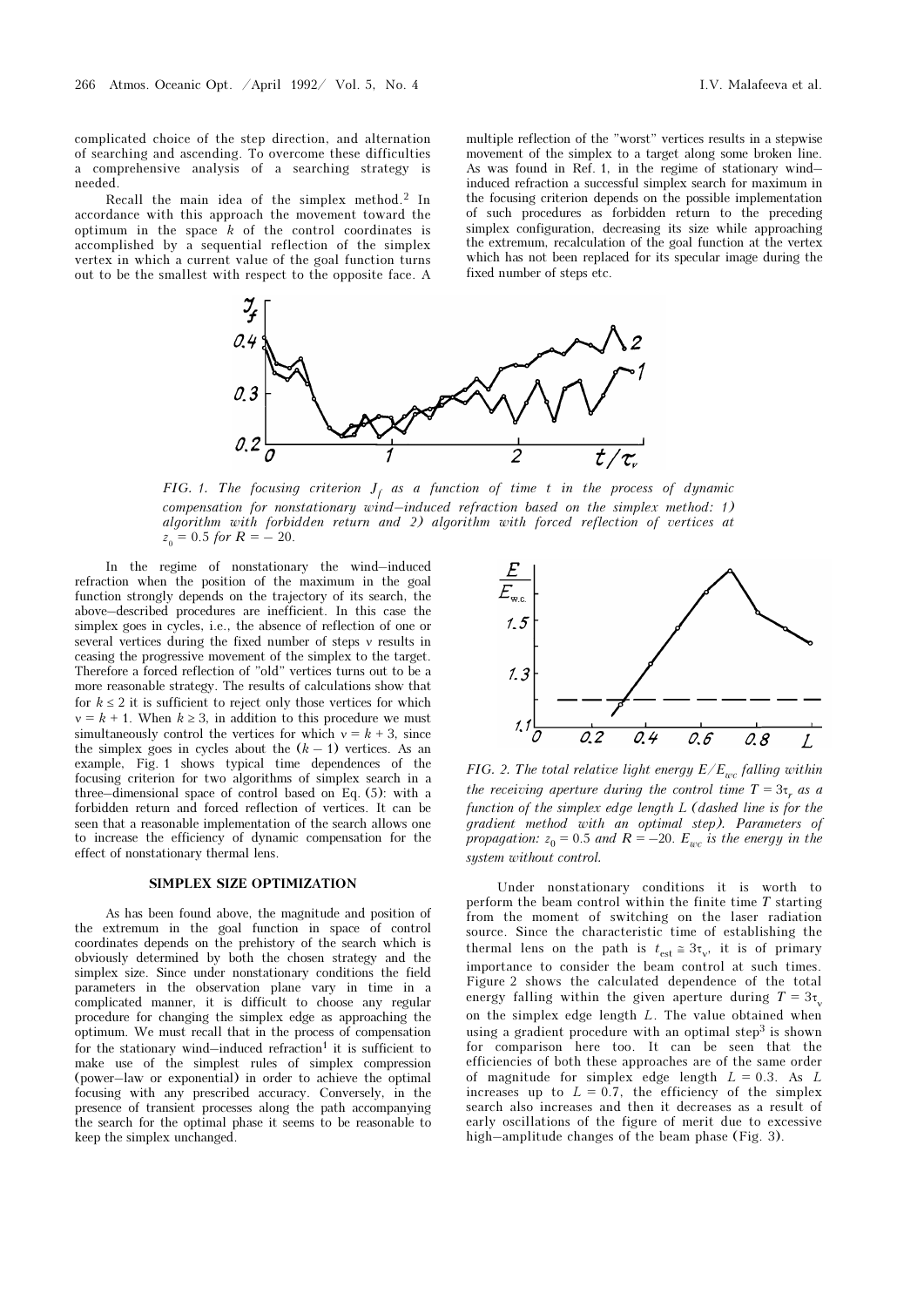complicated choice of the step direction, and alternation of searching and ascending. To overcome these difficulties a comprehensive analysis of a searching strategy is needed.

Recall the main idea of the simplex method.<sup>2</sup> In accordance with this approach the movement toward the optimum in the space  $k$  of the control coordinates is accomplished by a sequential reflection of the simplex vertex in which a current value of the goal function turns out to be the smallest with respect to the opposite face. A

multiple reflection of the "worst" vertices results in a stepwise movement of the simplex to a target along some broken line. As was found in Ref. 1, in the regime of stationary wind– induced refraction a successful simplex search for maximum in the focusing criterion depends on the possible implementation of such procedures as forbidden return to the preceding simplex configuration, decreasing its size while approaching the extremum, recalculation of the goal function at the vertex which has not been replaced for its specular image during the fixed number of steps etc.



FIG. 1. The focusing criterion  $J_f$  as a function of time t in the process of dynamic compensation for nonstationary wind–induced refraction based on the simplex method: 1) algorithm with forbidden return and 2) algorithm with forced reflection of vertices at  $z_0 = 0.5$  for  $R = -20$ .

In the regime of nonstationary the wind–induced refraction when the position of the maximum in the goal function strongly depends on the trajectory of its search, the above–described procedures are inefficient. In this case the simplex goes in cycles, i.e., the absence of reflection of one or several vertices during the fixed number of steps ν results in ceasing the progressive movement of the simplex to the target. Therefore a forced reflection of "old" vertices turns out to be a more reasonable strategy. The results of calculations show that for  $k \leq 2$  it is sufficient to reject only those vertices for which  $v = k + 1$ . When  $k \geq 3$ , in addition to this procedure we must simultaneously control the vertices for which  $v = k + 3$ , since the simplex goes in cycles about the  $(k - 1)$  vertices. As an example, Fig. 1 shows typical time dependences of the focusing criterion for two algorithms of simplex search in a three–dimensional space of control based on Eq. (5): with a forbidden return and forced reflection of vertices. It can be seen that a reasonable implementation of the search allows one to increase the efficiency of dynamic compensation for the effect of nonstationary thermal lens.

## SIMPLEX SIZE OPTIMIZATION

As has been found above, the magnitude and position of the extremum in the goal function in space of control coordinates depends on the prehistory of the search which is obviously determined by both the chosen strategy and the simplex size. Since under nonstationary conditions the field parameters in the observation plane vary in time in a complicated manner, it is difficult to choose any regular procedure for changing the simplex edge as approaching the optimum. We must recall that in the process of compensation for the stationary wind–induced refraction<sup>1</sup> it is sufficient to make use of the simplest rules of simplex compression (power–law or exponential) in order to achieve the optimal focusing with any prescribed accuracy. Conversely, in the presence of transient processes along the path accompanying the search for the optimal phase it seems to be reasonable to keep the simplex unchanged.



FIG. 2. The total relative light energy  $E/E_{wc}$  falling within the receiving aperture during the control time  $T = 3\tau_r$  as a function of the simplex edge length L (dashed line is for the gradient method with an optimal step). Parameters of propagation:  $z_0 = 0.5$  and  $R = -20$ .  $E_{wc}$  is the energy in the system without control.

Under nonstationary conditions it is worth to perform the beam control within the finite time T starting from the moment of switching on the laser radiation source. Since the characteristic time of establishing the thermal lens on the path is  $t_{est} \approx 3\tau_v$ , it is of primary importance to consider the beam control at such times. Figure 2 shows the calculated dependence of the total energy falling within the given aperture during  $T = 3\tau$ . on the simplex edge length L. The value obtained when using a gradient procedure with an optimal step<sup>3</sup> is shown for comparison here too. It can be seen that the efficiencies of both these approaches are of the same order of magnitude for simplex edge length  $L = 0.3$ . As L increases up to  $L = 0.7$ , the efficiency of the simplex search also increases and then it decreases as a result of early oscillations of the figure of merit due to excessive high–amplitude changes of the beam phase (Fig. 3).